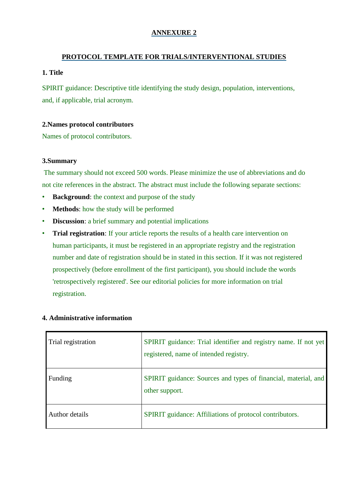# **ANNEXURE 2**

# **PROTOCOL TEMPLATE FOR TRIALS/INTERVENTIONAL STUDIES**

# **1. Title**

SPIRIT guidance: Descriptive title identifying the study design, population, interventions, and, if applicable, trial acronym.

# **2.Names protocol contributors**

Names of protocol contributors.

## **3.Summary**

The summary should not exceed 500 words. Please minimize the use of abbreviations and do not cite references in the abstract. The abstract must include the following separate sections:

- **Background**: the context and purpose of the study
- **Methods**: how the study will be performed
- **Discussion**: a brief summary and potential implications
- **Trial registration**: If your article reports the results of a health care intervention on human participants, it must be registered in an appropriate registry and the registration number and date of registration should be in stated in this section. If it was not registered prospectively (before enrollment of the first participant), you should include the words 'retrospectively registered'. See our editorial policies for more information on trial registration.

| Trial registration | SPIRIT guidance: Trial identifier and registry name. If not yet<br>registered, name of intended registry. |
|--------------------|-----------------------------------------------------------------------------------------------------------|
| Funding            | SPIRIT guidance: Sources and types of financial, material, and<br>other support.                          |
| Author details     | <b>SPIRIT</b> guidance: Affiliations of protocol contributors.                                            |

# **4. Administrative information**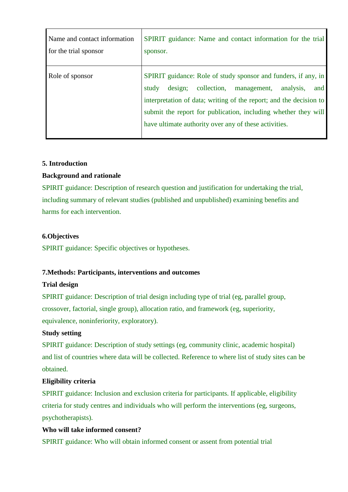| Name and contact information | <b>SPIRIT</b> guidance: Name and contact information for the trial                                                                                                                                                                                                                                                                    |
|------------------------------|---------------------------------------------------------------------------------------------------------------------------------------------------------------------------------------------------------------------------------------------------------------------------------------------------------------------------------------|
| for the trial sponsor        | sponsor.                                                                                                                                                                                                                                                                                                                              |
| Role of sponsor              | SPIRIT guidance: Role of study sponsor and funders, if any, in<br>collection,<br>design;<br>analysis.<br>study<br>and<br>management,<br>interpretation of data; writing of the report; and the decision to<br>submit the report for publication, including whether they will<br>have ultimate authority over any of these activities. |

#### **5. Introduction**

# **Background and rationale**

SPIRIT guidance: Description of research question and justification for undertaking the trial, including summary of relevant studies (published and unpublished) examining benefits and harms for each intervention.

## **6.Objectives**

SPIRIT guidance: Specific objectives or hypotheses.

# **7.Methods: Participants, interventions and outcomes**

#### **Trial design**

SPIRIT guidance: Description of trial design including type of trial (eg, parallel group, crossover, factorial, single group), allocation ratio, and framework (eg, superiority, equivalence, noninferiority, exploratory).

# **Study setting**

SPIRIT guidance: Description of study settings (eg, community clinic, academic hospital) and list of countries where data will be collected. Reference to where list of study sites can be obtained.

#### **Eligibility criteria**

SPIRIT guidance: Inclusion and exclusion criteria for participants. If applicable, eligibility criteria for study centres and individuals who will perform the interventions (eg, surgeons, psychotherapists).

#### **Who will take informed consent?**

SPIRIT guidance: Who will obtain informed consent or assent from potential trial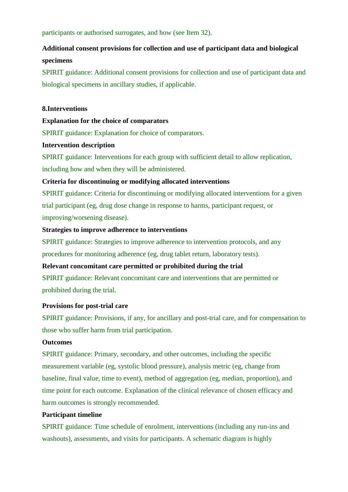participants or authorised surrogates, and how (see Item 32).

# **Additional consent provisions for collection and use of participant data and biological specimens**

SPIRIT guidance: Additional consent provisions for collection and use of participant data and biological specimens in ancillary studies, if applicable.

### **8.Interventions**

**Explanation for the choice of comparators**

SPIRIT guidance: Explanation for choice of comparators.

## **Intervention description**

SPIRIT guidance: Interventions for each group with sufficient detail to allow replication, including how and when they will be administered.

# **Criteria for discontinuing or modifying allocated interventions**

SPIRIT guidance: Criteria for discontinuing or modifying allocated interventions for a given trial participant (eg, drug dose change in response to harms, participant request, or improving/worsening disease).

## **Strategies to improve adherence to interventions**

SPIRIT guidance: Strategies to improve adherence to intervention protocols, and any procedures for monitoring adherence (eg, drug tablet return, laboratory tests).

### **Relevant concomitant care permitted or prohibited during the trial**

SPIRIT guidance: Relevant concomitant care and interventions that are permitted or prohibited during the trial.

#### **Provisions for post-trial care**

SPIRIT guidance: Provisions, if any, for ancillary and post-trial care, and for compensation to those who suffer harm from trial participation.

## **Outcomes**

SPIRIT guidance: Primary, secondary, and other outcomes, including the specific measurement variable (eg, systolic blood pressure), analysis metric (eg, change from baseline, final value, time to event), method of aggregation (eg, median, proportion), and time point for each outcome. Explanation of the clinical relevance of chosen efficacy and harm outcomes is strongly recommended.

# **Participant timeline**

SPIRIT guidance: Time schedule of enrolment, interventions (including any run-ins and washouts), assessments, and visits for participants. A schematic diagram is highly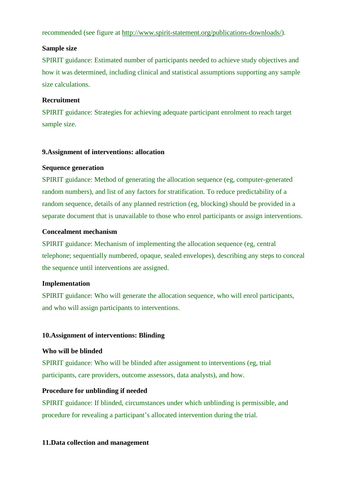recommended (see figure at [http://www.spirit-statement.org/publications-downloads/\)](http://www.spirit-statement.org/publications-downloads/).

#### **Sample size**

SPIRIT guidance: Estimated number of participants needed to achieve study objectives and how it was determined, including clinical and statistical assumptions supporting any sample size calculations.

#### **Recruitment**

SPIRIT guidance: Strategies for achieving adequate participant enrolment to reach target sample size.

#### **9.Assignment of interventions: allocation**

#### **Sequence generation**

SPIRIT guidance: Method of generating the allocation sequence (eg, computer-generated random numbers), and list of any factors for stratification. To reduce predictability of a random sequence, details of any planned restriction (eg, blocking) should be provided in a separate document that is unavailable to those who enrol participants or assign interventions.

#### **Concealment mechanism**

SPIRIT guidance: Mechanism of implementing the allocation sequence (eg, central telephone; sequentially numbered, opaque, sealed envelopes), describing any steps to conceal the sequence until interventions are assigned.

#### **Implementation**

SPIRIT guidance: Who will generate the allocation sequence, who will enrol participants, and who will assign participants to interventions.

#### **10.Assignment of interventions: Blinding**

#### **Who will be blinded**

SPIRIT guidance: Who will be blinded after assignment to interventions (eg, trial participants, care providers, outcome assessors, data analysts), and how.

#### **Procedure for unblinding if needed**

SPIRIT guidance: If blinded, circumstances under which unblinding is permissible, and procedure for revealing a participant's allocated intervention during the trial.

#### **11.Data collection and management**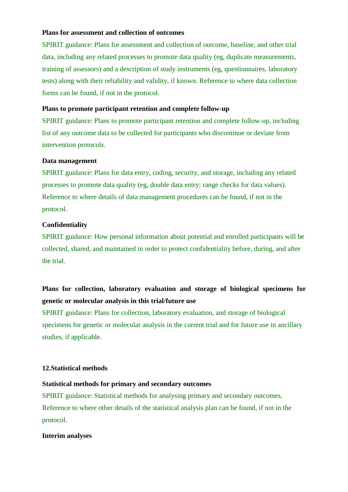#### **Plans for assessment and collection of outcomes**

SPIRIT guidance: Plans for assessment and collection of outcome, baseline, and other trial data, including any related processes to promote data quality (eg, duplicate measurements, training of assessors) and a description of study instruments (eg, questionnaires, laboratory tests) along with their reliability and validity, if known. Reference to where data collection forms can be found, if not in the protocol.

### **Plans to promote participant retention and complete follow-up**

SPIRIT guidance: Plans to promote participant retention and complete follow-up, including list of any outcome data to be collected for participants who discontinue or deviate from intervention protocols.

#### **Data management**

SPIRIT guidance: Plans for data entry, coding, security, and storage, including any related processes to promote data quality (eg, double data entry; range checks for data values). Reference to where details of data management procedures can be found, if not in the protocol.

#### **Confidentiality**

SPIRIT guidance: How personal information about potential and enrolled participants will be collected, shared, and maintained in order to protect confidentiality before, during, and after the trial.

# **Plans for collection, laboratory evaluation and storage of biological specimens for genetic or molecular analysis in this trial/future use**

SPIRIT guidance: Plans for collection, laboratory evaluation, and storage of biological specimens for genetic or molecular analysis in the current trial and for future use in ancillary studies, if applicable.

## **12.Statistical methods**

#### **Statistical methods for primary and secondary outcomes**

SPIRIT guidance: Statistical methods for analysing primary and secondary outcomes. Reference to where other details of the statistical analysis plan can be found, if not in the protocol.

#### **Interim analyses**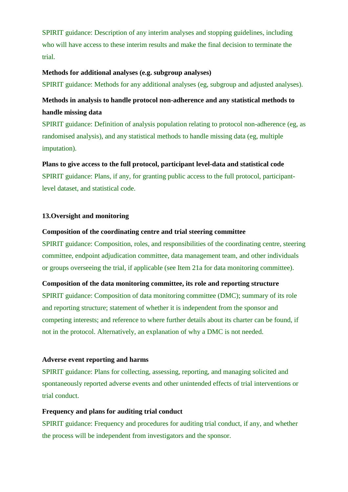SPIRIT guidance: Description of any interim analyses and stopping guidelines, including who will have access to these interim results and make the final decision to terminate the trial.

#### **Methods for additional analyses (e.g. subgroup analyses)**

SPIRIT guidance: Methods for any additional analyses (eg, subgroup and adjusted analyses).

# **Methods in analysis to handle protocol non-adherence and any statistical methods to handle missing data**

SPIRIT guidance: Definition of analysis population relating to protocol non-adherence (eg, as randomised analysis), and any statistical methods to handle missing data (eg, multiple imputation).

# **Plans to give access to the full protocol, participant level-data and statistical code** SPIRIT guidance: Plans, if any, for granting public access to the full protocol, participantlevel dataset, and statistical code.

### **13.Oversight and monitoring**

#### **Composition of the coordinating centre and trial steering committee**

SPIRIT guidance: Composition, roles, and responsibilities of the coordinating centre, steering committee, endpoint adjudication committee, data management team, and other individuals or groups overseeing the trial, if applicable (see Item 21a for data monitoring committee).

#### **Composition of the data monitoring committee, its role and reporting structure**

SPIRIT guidance: Composition of data monitoring committee (DMC); summary of its role and reporting structure; statement of whether it is independent from the sponsor and competing interests; and reference to where further details about its charter can be found, if not in the protocol. Alternatively, an explanation of why a DMC is not needed.

#### **Adverse event reporting and harms**

SPIRIT guidance: Plans for collecting, assessing, reporting, and managing solicited and spontaneously reported adverse events and other unintended effects of trial interventions or trial conduct.

#### **Frequency and plans for auditing trial conduct**

SPIRIT guidance: Frequency and procedures for auditing trial conduct, if any, and whether the process will be independent from investigators and the sponsor.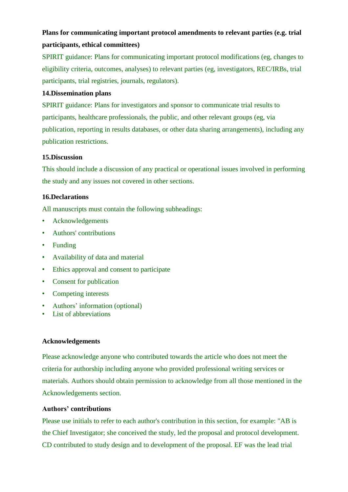# **Plans for communicating important protocol amendments to relevant parties (e.g. trial participants, ethical committees)**

SPIRIT guidance: Plans for communicating important protocol modifications (eg, changes to eligibility criteria, outcomes, analyses) to relevant parties (eg, investigators, REC/IRBs, trial participants, trial registries, journals, regulators).

# **14.Dissemination plans**

SPIRIT guidance: Plans for investigators and sponsor to communicate trial results to participants, healthcare professionals, the public, and other relevant groups (eg, via publication, reporting in results databases, or other data sharing arrangements), including any publication restrictions.

## **15.Discussion**

This should include a discussion of any practical or operational issues involved in performing the study and any issues not covered in other sections.

## **16.Declarations**

All manuscripts must contain the following subheadings:

- Acknowledgements
- Authors' contributions
- Funding
- Availability of data and material
- Ethics approval and consent to participate
- Consent for publication
- Competing interests
- Authors' information (optional)
- List of abbreviations

#### **Acknowledgements**

Please acknowledge anyone who contributed towards the article who does not meet the criteria for authorship including anyone who provided professional writing services or materials. Authors should obtain permission to acknowledge from all those mentioned in the Acknowledgements section.

#### **Authors' contributions**

Please use initials to refer to each author's contribution in this section, for example: "AB is the Chief Investigator; she conceived the study, led the proposal and protocol development. CD contributed to study design and to development of the proposal. EF was the lead trial